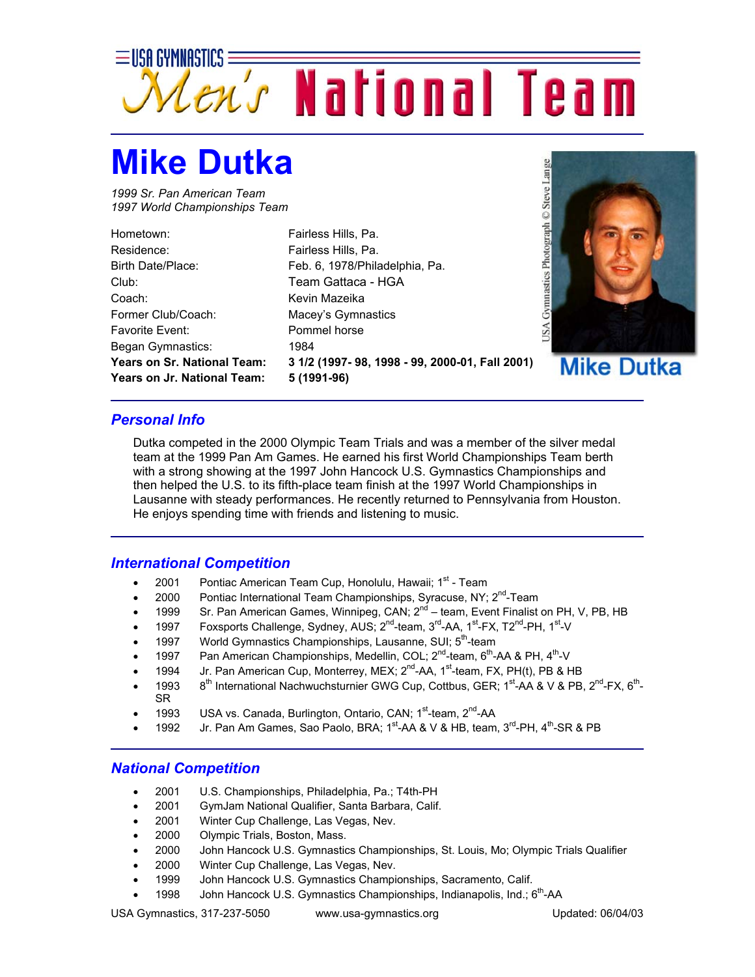

## **Mike Dutka**

*1999 Sr. Pan American Team 1997 World Championships Team* 

| Hometown:                         |
|-----------------------------------|
| Residence:                        |
| Birth Date/Place:                 |
| Club:                             |
| Coach:                            |
| Former Club/Coach:                |
| <b>Favorite Fvent:</b>            |
| Began Gymnastics:                 |
| <b>Years on Sr. National Team</b> |
| <b>Years on Jr. National Team</b> |

Fairless Hills, Pa. Fairless Hills, Pa. Feb. 6, 1978/Philadelphia, Pa. Team Gattaca - HGA Kevin Mazeika Macey's Gymnastics Pommel horse 1984 **Years on Sr. National Team: 3 1/2 (1997- 98, 1998 - 99, 2000-01, Fall 2001)**   $\cdot$  5 (1991-96)



## *Personal Info*

Dutka competed in the 2000 Olympic Team Trials and was a member of the silver medal team at the 1999 Pan Am Games. He earned his first World Championships Team berth with a strong showing at the 1997 John Hancock U.S. Gymnastics Championships and then helped the U.S. to its fifth-place team finish at the 1997 World Championships in Lausanne with steady performances. He recently returned to Pennsylvania from Houston. He enjoys spending time with friends and listening to music.

## *International Competition*

- 2001 Pontiac American Team Cup, Honolulu, Hawaii;  $1<sup>st</sup>$  Team
- 2000 Pontiac International Team Championships, Syracuse, NY; 2<sup>nd</sup>-Team
- 1999 Sr. Pan American Games, Winnipeg, CAN;  $2^{nd}$  team, Event Finalist on PH, V, PB, HB
- 1997 Foxsports Challenge, Sydney, AUS; 2<sup>nd</sup>-team, 3<sup>rd</sup>-AA, 1<sup>st</sup>-FX, T2<sup>nd</sup>-PH, 1<sup>st</sup>-V
- 1997 World Gymnastics Championships, Lausanne, SUI: 5<sup>th</sup>-team
- 1997 Pan American Championships, Medellin, COL;  $2^{nd}$ -team,  $6^{th}$ -AA & PH,  $4^{th}$ -V
- 1994 Jr. Pan American Cup, Monterrey, MEX; 2<sup>nd</sup>-AA, 1<sup>st</sup>-team, FX, PH(t), PB & HB
- 1993 8<sup>th</sup> International Nachwuchsturnier GWG Cup, Cottbus, GER; 1<sup>st</sup>-AA & V & PB, 2<sup>nd</sup>-FX, 6<sup>th</sup>-SR
- 1993 USA vs. Canada, Burlington, Ontario, CAN; 1<sup>st</sup>-team, 2<sup>nd</sup>-AA
- 1992 Jr. Pan Am Games, Sao Paolo, BRA; 1<sup>st</sup>-AA & V & HB, team, 3<sup>rd</sup>-PH, 4<sup>th</sup>-SR & PB

## *National Competition*

- 2001 U.S. Championships, Philadelphia, Pa.; T4th-PH
- 2001 GymJam National Qualifier, Santa Barbara, Calif.
- 2001 Winter Cup Challenge, Las Vegas, Nev.
- 2000 Olympic Trials, Boston, Mass.
- 2000 John Hancock U.S. Gymnastics Championships, St. Louis, Mo; Olympic Trials Qualifier
- 2000 Winter Cup Challenge, Las Vegas, Nev.
- 1999 John Hancock U.S. Gymnastics Championships, Sacramento, Calif.
- 1998 John Hancock U.S. Gymnastics Championships, Indianapolis, Ind.; 6<sup>th</sup>-AA